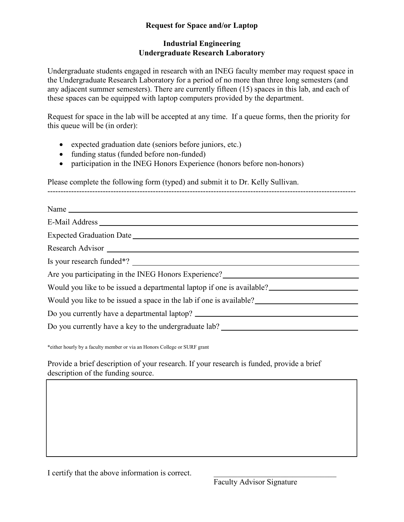## **Industrial Engineering Undergraduate Research Laboratory**

Undergraduate students engaged in research with an INEG faculty member may request space in the Undergraduate Research Laboratory for a period of no more than three long semesters (and any adjacent summer semesters). There are currently fifteen (15) spaces in this lab, and each of these spaces can be equipped with laptop computers provided by the department.

Request for space in the lab will be accepted at any time. If a queue forms, then the priority for this queue will be (in order):

---------------------------------------------------------------------------------------------------------------------

- expected graduation date (seniors before juniors, etc.)
- funding status (funded before non-funded)
- participation in the INEG Honors Experience (honors before non-honors)

Please complete the following form (typed) and submit it to Dr. Kelly Sullivan.

| E-Mail Address Lawrence and Security and Security and Security and Security and Security and Security and Security and Security and Security and Security and Security and Security and Security and Security and Security and         |
|----------------------------------------------------------------------------------------------------------------------------------------------------------------------------------------------------------------------------------------|
|                                                                                                                                                                                                                                        |
|                                                                                                                                                                                                                                        |
|                                                                                                                                                                                                                                        |
| Are you participating in the INEG Honors Experience?<br><u>Letter and the set of the set of the set of the set of the set of the set of the set of the set of the set of the set of the set of the set of the set of the set of th</u> |
| Would you like to be issued a departmental laptop if one is available?                                                                                                                                                                 |
| Would you like to be issued a space in the lab if one is available?                                                                                                                                                                    |
| Do you currently have a departmental laptop? ___________________________________                                                                                                                                                       |
| Do you currently have a key to the undergraduate lab? __________________________                                                                                                                                                       |
|                                                                                                                                                                                                                                        |

\*either hourly by a faculty member or via an Honors College or SURF grant

Provide a brief description of your research. If your research is funded, provide a brief description of the funding source.

I certify that the above information is correct.

Faculty Advisor Signature